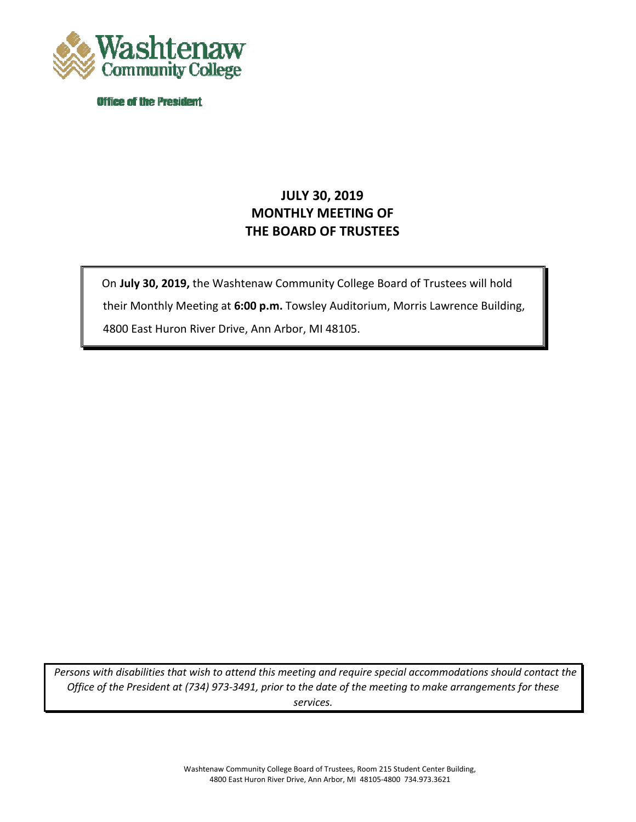

**Office of the President** 

# **JULY 30, 2019 MONTHLY MEETING OF THE BOARD OF TRUSTEES**

 their Monthly Meeting at **6:00 p.m.** Towsley Auditorium, Morris Lawrence Building, On **July 30, 2019,** the Washtenaw Community College Board of Trustees will hold 4800 East Huron River Drive, Ann Arbor, MI 48105.

 *Office of the President at (734) 973-3491, prior to the date of the meeting to make arrangements for these Persons with disabilities that wish to attend this meeting and require special accommodations should contact the services.* 

 $\vert$